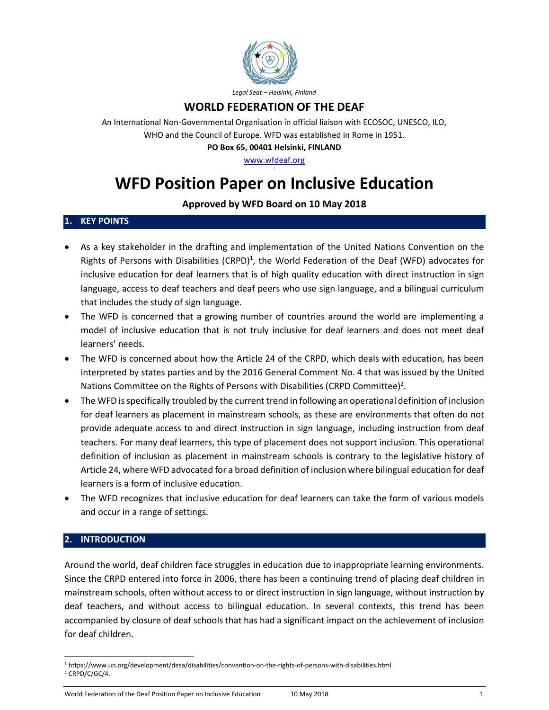

## **WORLD FEDERATION OF THE DEAF**

An International Non-Governmental Organisation in official liaison with ECOSOC, UNESCO, ILO, WHO and the Council of Europe. WFD was established in Rome in 1951.

**PO Box 65, 00401 Helsinki, FINLAND**

[www.wfdeaf.org](http://www.wfdeaf.org/)

# **WFD Position Paper on Inclusive Education**

## **Approved by WFD Board on 10 May 2018**

### **1. KEY POINTS**

- As a key stakeholder in the drafting and implementation of the United Nations Convention on the Rights of Persons with Disabilities (CRPD)<sup>1</sup>, the World Federation of the Deaf (WFD) advocates for inclusive education for deaf learners that is of high quality education with direct instruction in sign language, access to deaf teachers and deaf peers who use sign language, and a bilingual curriculum that includes the study of sign language.
- The WFD is concerned that a growing number of countries around the world are implementing a model of inclusive education that is not truly inclusive for deaf learners and does not meet deaf learners' needs.
- x The WFD is concerned about how the Article 24 of the CRPD, which deals with education, has been interpreted by states parties and by the 2016 General Comment No. 4 that was issued by the United Nations Committee on the Rights of Persons with Disabilities (CRPD Committee)<sup>2</sup>.
- x The WFD is specifically troubled by the current trend in following an operational definition of inclusion for deaf learners as placement in mainstream schools, as these are environments that often do not provide adequate access to and direct instruction in sign language, including instruction from deaf teachers. For many deaf learners, this type of placement does not support inclusion. This operational definition of inclusion as placement in mainstream schools is contrary to the legislative history of Article 24, where WFD advocated for a broad definition of inclusion where bilingual education for deaf learners is a form of inclusive education.
- The WFD recognizes that inclusive education for deaf learners can take the form of various models and occur in a range of settings.

#### **2. INTRODUCTION**

Around the world, deaf children face struggles in education due to inappropriate learning environments. Since the CRPD entered into force in 2006, there has been a continuing trend of placing deaf children in mainstream schools, often without access to or direct instruction in sign language, without instruction by deaf teachers, and without access to bilingual education. In several contexts, this trend has been accompanied by closure of deaf schools that has had a significant impact on the achievement of inclusion for deaf children.

<sup>1</sup> https://www.un.org/development/desa/disabilities/convention-on-the-rights-of-persons-with-disabilities.html <sup>2</sup> CRPD/C/GC/4.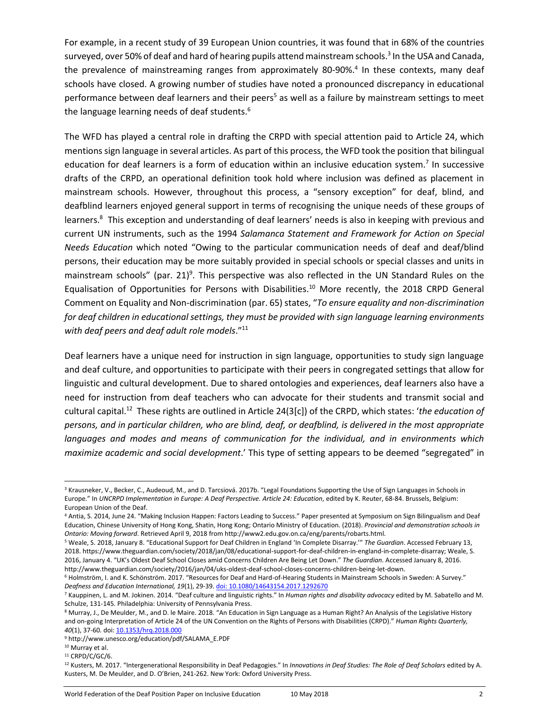For example, in a recent study of 39 European Union countries, it was found that in 68% of the countries surveyed, over 50% of deaf and hard of hearing pupils attend mainstream schools.<sup>3</sup> In the USA and Canada, the prevalence of mainstreaming ranges from approximately 80-90%.<sup>4</sup> In these contexts, many deaf schools have closed. A growing number of studies have noted a pronounced discrepancy in educational performance between deaf learners and their peers<sup>5</sup> as well as a failure by mainstream settings to meet the language learning needs of deaf students.<sup>6</sup>

The WFD has played a central role in drafting the CRPD with special attention paid to Article 24, which mentions sign language in several articles. As part of this process, the WFD took the position that bilingual education for deaf learners is a form of education within an inclusive education system.<sup>7</sup> In successive drafts of the CRPD, an operational definition took hold where inclusion was defined as placement in mainstream schools. However, throughout this process, a "sensory exception" for deaf, blind, and deafblind learners enjoyed general support in terms of recognising the unique needs of these groups of learners.<sup>8</sup> This exception and understanding of deaf learners' needs is also in keeping with previous and current UN instruments, such as the 1994 *Salamanca Statement and Framework for Action on Special Needs Education* which noted "Owing to the particular communication needs of deaf and deaf/blind persons, their education may be more suitably provided in special schools or special classes and units in mainstream schools" (par. 21)<sup>9</sup>. This perspective was also reflected in the UN Standard Rules on the Equalisation of Opportunities for Persons with Disabilities.<sup>10</sup> More recently, the 2018 CRPD General Comment on Equality and Non-discrimination (par. 65) states, "*To ensure equality and non-discrimination for deaf children in educational settings, they must be provided with sign language learning environments with deaf peers and deaf adult role models*."<sup>11</sup>

Deaf learners have a unique need for instruction in sign language, opportunities to study sign language and deaf culture, and opportunities to participate with their peers in congregated settings that allow for linguistic and cultural development. Due to shared ontologies and experiences, deaf learners also have a need for instruction from deaf teachers who can advocate for their students and transmit social and cultural capital.12 These rights are outlined in Article 24(3[c]) of the CRPD, which states: '*the education of persons, and in particular children, who are blind, deaf, or deafblind, is delivered in the most appropriate languages and modes and means of communication for the individual, and in environments which maximize academic and social development*.' This type of setting appears to be deemed "segregated" in

<sup>&</sup>lt;sup>3</sup> Krausneker, V., Becker, C., Audeoud, M., and D. Tarcsiová. 2017b. "Legal Foundations Supporting the Use of Sign Languages in Schools in Europe." In UNCRPD Implementation in Europe: A Deaf Perspective. Article 24: Education, edited by K. Reuter, 68-84. Brussels, Belgium: European Union of the Deaf.

<sup>4</sup> Antia, S. 2014, June 24. "Making Inclusion Happen: Factors Leading to Success." Paper presented at Symposium on Sign Bilingualism and Deaf Education, Chinese University of Hong Kong, Shatin, Hong Kong; Ontario Ministry of Education. (2018). *Provincial and demonstration schools in Ontario: Moving forward*. Retrieved April 9, 2018 from http://www2.edu.gov.on.ca/eng/parents/robarts.html.

<sup>5</sup> Weale, S. 2018, January 8. "Educational Support for Deaf Children in England 'In Complete Disarray.'" *The Guardian*. Accessed February 13, 2018. https://www.theguardian.com/society/2018/jan/08/educational-support-for-deaf-children-in-england-in-complete-disarray; Weale, S. 2016, January 4. "UK's Oldest Deaf School Closes amid Concerns Children Are Being Let Down." *The Guardian*. Accessed January 8, 2016. http://www.theguardian.com/society/2016/jan/04/uks-oldest-deaf-school-closes-concerns-children-being-let-down.

<sup>6</sup> Holmström, I. and K. Schönström. 2017. "Resources for Deaf and Hard-of-Hearing Students in Mainstream Schools in Sweden: A Survey." *Deafness and Education International, 19*(1), 29-39[. doi: 10.1080/14643154.2017.1292670](https://doi.org/10.1080/14643154.2017.1292670)

<sup>7</sup> Kauppinen, L. and M. Jokinen. 2014. "Deaf culture and linguistic rights." In *Human rights and disability advocacy* edited by M. Sabatello and M. Schulze, 131-145. Philadelphia: University of Pennsylvania Press.

<sup>8</sup> Murray, J., De Meulder, M., and D. le Maire. 2018. "An Education in Sign Language as a Human Right? An Analysis of the Legislative History and on-going Interpretation of Article 24 of the UN Convention on the Rights of Persons with Disabilities (CRPD)." *Human Rights Quarterly, 40*(1), 37-60*.* doi: [10.1353/hrq.2018.000](https://doi.org/10.1353/hrq.2018.0001)

<sup>9</sup> http://www.unesco.org/education/pdf/SALAMA\_E.PDF

<sup>&</sup>lt;sup>10</sup> Murray et al.

 $11$  CRPD/C/GC/6.

<sup>12</sup> Kusters, M. 2017. "Intergenerational Responsibility in Deaf Pedagogies." In *Innovations in Deaf Studies: The Role of Deaf Scholars* edited by A. Kusters, M. De Meulder, and D. O'Brien, 241-262. New York: Oxford University Press.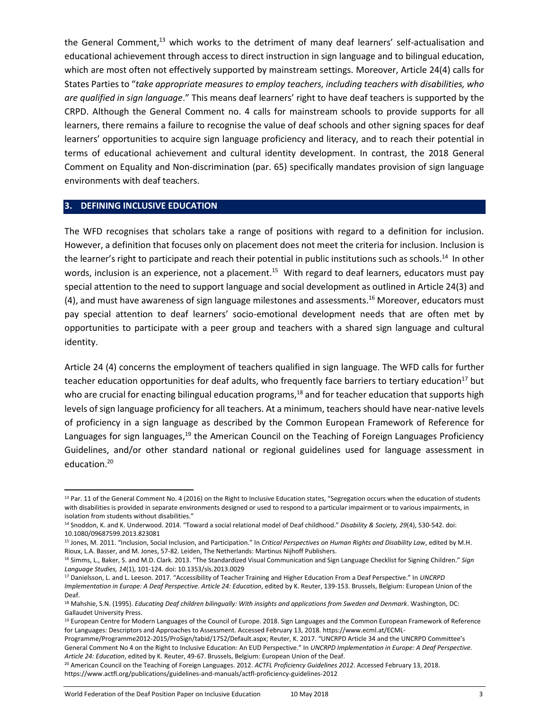the General Comment, $^{13}$  which works to the detriment of many deaf learners' self-actualisation and educational achievement through access to direct instruction in sign language and to bilingual education, which are most often not effectively supported by mainstream settings. Moreover, Article 24(4) calls for States Parties to "*take appropriate measures to employ teachers, including teachers with disabilities, who are qualified in sign language*." This means deaf learners' right to have deaf teachers is supported by the CRPD. Although the General Comment no. 4 calls for mainstream schools to provide supports for all learners, there remains a failure to recognise the value of deaf schools and other signing spaces for deaf learners' opportunities to acquire sign language proficiency and literacy, and to reach their potential in terms of educational achievement and cultural identity development. In contrast, the 2018 General Comment on Equality and Non-discrimination (par. 65) specifically mandates provision of sign language environments with deaf teachers.

#### **3. DEFINING INCLUSIVE EDUCATION**

The WFD recognises that scholars take a range of positions with regard to a definition for inclusion. However, a definition that focuses only on placement does not meet the criteria for inclusion. Inclusion is the learner's right to participate and reach their potential in public institutions such as schools.<sup>14</sup> In other words, inclusion is an experience, not a placement.<sup>15</sup> With regard to deaf learners, educators must pay special attention to the need to support language and social development as outlined in Article 24(3) and (4), and must have awareness of sign language milestones and assessments.16 Moreover, educators must pay special attention to deaf learners' socio-emotional development needs that are often met by opportunities to participate with a peer group and teachers with a shared sign language and cultural identity.

Article 24 (4) concerns the employment of teachers qualified in sign language. The WFD calls for further teacher education opportunities for deaf adults, who frequently face barriers to tertiary education<sup>17</sup> but who are crucial for enacting bilingual education programs,<sup>18</sup> and for teacher education that supports high levels of sign language proficiency for all teachers. At a minimum, teachers should have near-native levels of proficiency in a sign language as described by the Common European Framework of Reference for Languages for sign languages,<sup>19</sup> the American Council on the Teaching of Foreign Languages Proficiency Guidelines, and/or other standard national or regional guidelines used for language assessment in education. 20

<sup>&</sup>lt;sup>13</sup> Par. 11 of the General Comment No. 4 (2016) on the Right to Inclusive Education states, "Segregation occurs when the education of students with disabilities is provided in separate environments designed or used to respond to a particular impairment or to various impairments, in isolation from students without disabilities."

<sup>14</sup> Snoddon, K. and K. Underwood. 2014. "Toward a social relational model of Deaf childhood." *Disability & Society, 29*(4), 530-542. doi: 10.1080/09687599.2013.823081

<sup>15</sup> Jones, M. 2011. "Inclusion, Social Inclusion, and Participation." In *Critical Perspectives on Human Rights and Disability Law*, edited by M.H. Rioux, L.A. Basser, and M. Jones, 57-82. Leiden, The Netherlands: Martinus Nijhoff Publishers.

<sup>16</sup> Simms, L., Baker, S. and M.D. Clark. 2013. "The Standardized Visual Communication and Sign Language Checklist for Signing Children." *Sign Language Studies, 14*(1), 101-124. doi: 10.1353/sls.2013.0029

<sup>17</sup> Danielsson, L. and L. Leeson. 2017. "Accessibility of Teacher Training and Higher Education From a Deaf Perspective." In *UNCRPD Implementation in Europe: A Deaf Perspective. Article 24: Education*, edited by K. Reuter, 139-153. Brussels, Belgium: European Union of the Deaf.

<sup>18</sup> Mahshie, S.N. (1995). *Educating Deaf children bilingually: With insights and applications from Sweden and Denmark*. Washington, DC: Gallaudet University Press.

<sup>&</sup>lt;sup>19</sup> European Centre for Modern Languages of the Council of Europe. 2018. Sign Languages and the Common European Framework of Reference for Languages: Descriptors and Approaches to Assessment. Accessed February 13, 2018[. https://www.ecml.at/ECML-](https://www.ecml.at/ECML-Programme/Programme2012-2015/ProSign/tabid/1752/Default.aspx)

[Programme/Programme2012-2015/ProSign/tabid/1752/Default.aspx](https://www.ecml.at/ECML-Programme/Programme2012-2015/ProSign/tabid/1752/Default.aspx); Reuter, K. 2017. "UNCRPD Article 34 and the UNCRPD Committee's General Comment No 4 on the Right to Inclusive Education: An EUD Perspective." In *UNCRPD Implementation in Europe: A Deaf Perspective. Article 24: Education*, edited by K. Reuter, 49-67. Brussels, Belgium: European Union of the Deaf.

<sup>20</sup> American Council on the Teaching of Foreign Languages. 2012. *ACTFL Proficiency Guidelines 2012*. Accessed February 13, 2018. https://www.actfl.org/publications/guidelines-and-manuals/actfl-proficiency-guidelines-2012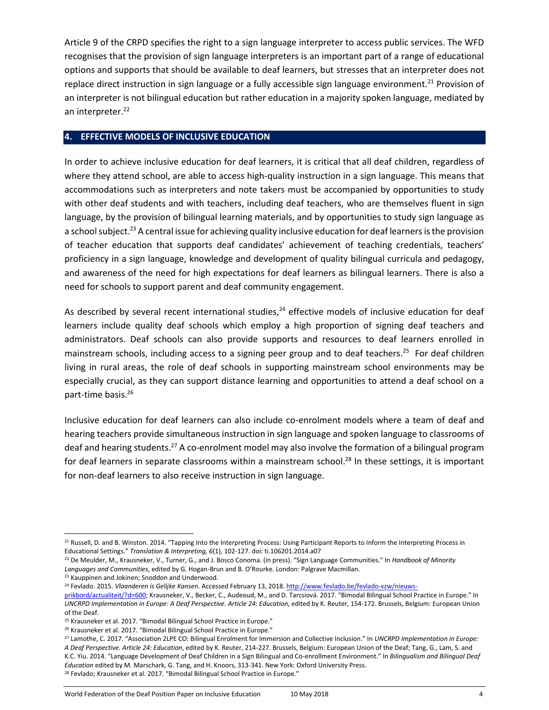Article 9 of the CRPD specifies the right to a sign language interpreter to access public services. The WFD recognises that the provision of sign language interpreters is an important part of a range of educational options and supports that should be available to deaf learners, but stresses that an interpreter does not replace direct instruction in sign language or a fully accessible sign language environment.<sup>21</sup> Provision of an interpreter is not bilingual education but rather education in a majority spoken language, mediated by an interpreter.<sup>22</sup>

## **4. EFFECTIVE MODELS OF INCLUSIVE EDUCATION**

In order to achieve inclusive education for deaf learners, it is critical that all deaf children, regardless of where they attend school, are able to access high-quality instruction in a sign language. This means that accommodations such as interpreters and note takers must be accompanied by opportunities to study with other deaf students and with teachers, including deaf teachers, who are themselves fluent in sign language, by the provision of bilingual learning materials, and by opportunities to study sign language as a school subject.<sup>23</sup> A central issue for achieving quality inclusive education for deaf learners is the provision of teacher education that supports deaf candidates' achievement of teaching credentials, teachers' proficiency in a sign language, knowledge and development of quality bilingual curricula and pedagogy, and awareness of the need for high expectations for deaf learners as bilingual learners. There is also a need for schools to support parent and deaf community engagement.

As described by several recent international studies, $24$  effective models of inclusive education for deaf learners include quality deaf schools which employ a high proportion of signing deaf teachers and administrators. Deaf schools can also provide supports and resources to deaf learners enrolled in mainstream schools, including access to a signing peer group and to deaf teachers. <sup>25</sup> For deaf children living in rural areas, the role of deaf schools in supporting mainstream school environments may be especially crucial, as they can support distance learning and opportunities to attend a deaf school on a part-time basis.<sup>26</sup>

Inclusive education for deaf learners can also include co-enrolment models where a team of deaf and hearing teachers provide simultaneous instruction in sign language and spoken language to classrooms of deaf and hearing students.27 A co-enrolment model may also involve the formation of a bilingual program for deaf learners in separate classrooms within a mainstream school.<sup>28</sup> In these settings, it is important for non-deaf learners to also receive instruction in sign language.

 $\overline{a}$ 

<sup>21</sup> Russell, D. and B. Winston. 2014. "Tapping Into the Interpreting Process: Using Participant Reports to Inform the Interpreting Process in Educational Settings." *Translation & Interpreting, 6*(1), 102-127. doi: ti.106201.2014.a07

<sup>22</sup> De Meulder, M., Krausneker, V., Turner, G., and J. Bosco Conoma. (in press). "Sign Language Communities." In *Handbook of Minority Languages and Communities*, edited by G. Hogan-Brun and B. O'Rourke. London: Palgrave Macmillan.

<sup>&</sup>lt;sup>23</sup> Kauppinen and Jokinen; Snoddon and Underwood.

<sup>24</sup> Fevlado. 2015. *Vlaanderen is Gelijke Kansen*. Accessed February 13, 2018[. http://www.fevlado.be/fevlado-vzw/nieuws-](http://www.fevlado.be/fevlado-vzw/nieuws-prikbord/actualiteit/?d=600)

[prikbord/actualiteit/?d=600](http://www.fevlado.be/fevlado-vzw/nieuws-prikbord/actualiteit/?d=600); Krausneker, V., Becker, C., Audeoud, M., and D. Tarcsiová. 2017. "Bimodal Bilingual School Practice in Europe." In *UNCRPD Implementation in Europe: A Deaf Perspective. Article 24: Education*, edited by K. Reuter, 154-172. Brussels, Belgium: European Union of the Deaf.

<sup>&</sup>lt;sup>25</sup> Krausneker et al. 2017. "Bimodal Bilingual School Practice in Europe."

<sup>&</sup>lt;sup>26</sup> Krausneker et al. 2017. "Bimodal Bilingual School Practice in Europe."

<sup>27</sup> Lamothe, C. 2017. "Association 2LPE CO: Bilingual Enrolment for Immersion and Collective Inclusion." In *UNCRPD Implementation in Europe: A Deaf Perspective. Article 24: Education*, edited by K. Reuter, 214-227. Brussels, Belgium: European Union of the Deaf; Tang, G., Lam, S. and K.C. Yiu. 2014. "Language Development of Deaf Children in a Sign Bilingual and Co-enrollment Environment." In *Bilingualism and Bilingual Deaf Education* edited by M. Marschark, G. Tang, and H. Knoors, 313-341. New York: Oxford University Press. <sup>28</sup> Fevlado; Krausneker et al. 2017. "Bimodal Bilingual School Practice in Europe."